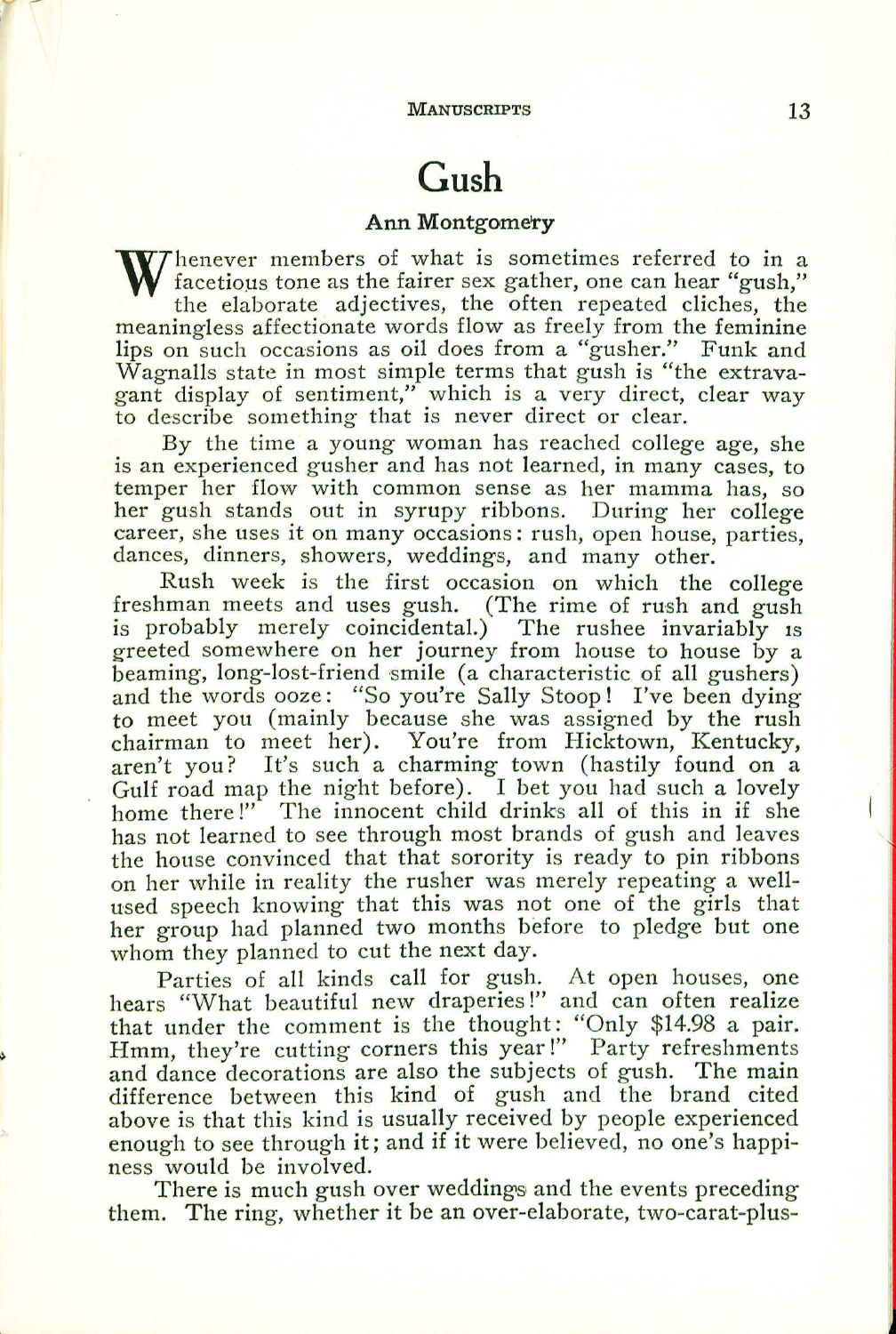MANUSCRIPTS 13

## **Gush**

## **Ann** Montgomery

W henever members of what is sometimes referred to in a<br>facetious tone as the fairer sex gather, one can hear "gush,"<br>the elaborate adjectives the often repeated cliches the facetious tone as the fairer sex gather, one can hear "gush," the elaborate adjectives, the often repeated cliches, the meaningless affectionate words flow as freely from the feminine lips on such occasions as oil does from a "gusher." Funk and Wagnalls state in most simple terms that gush is "the extravagant display of sentiment," which is a very direct, clear way to describe something that is never direct or clear.

By the time a young woman has reached college age, she is an experienced gusher and has not learned, in many cases, to temper her flow with common sense as her mamma has, so her gush stands out in syrupy ribbons. During her college career, she uses it on many occasions: rush, open house, parties, dances, dinners, showers, weddings, and many other.

Rush week is the first occasion on which the college freshman meets and uses gush. (The rime of rush and gush is probably merely coincidental.) The rushee invariably is greeted somewhere on her journey from house to house by a beaming, long-lost-friend smile (a characteristic of all gushers) and the words ooze: "So you're Sally Stoop! I've been dying to meet you (mainly because she was assigned by the rush chairman to meet her). You're from Hicktown, Kentucky, aren't you? It's such a charming town (hastily found on a Gulf road map the night before). I bet you had such a lovely home there!" The innocent child drinks all of this in if she has not learned to see through most brands of gush and leaves the house convinced that that sorority is ready to pin ribbons on her while in reality the rusher was merely repeating a wellused speech knowing that this was not one of the girls that her group had planned two months before to pledge but one whom they planned to cut the next day.

Parties of all kinds call for gush. At open houses, one hears "What beautiful new draperies!" and can often realize that under the comment is the thought: "Only \$14.98 a pair. Hmm, they're cutting corners this year!" Party refreshments and dance decorations are also the subjects of gush. The main difference between this kind of gush and the brand cited above is that this kind is usually received by people experienced enough to see through it; and if it were believed, no one's happiness would be involved.

There is much gush over weddings and the events preceding them. The ring, whether it be an over-elaborate, two-carat-plus-